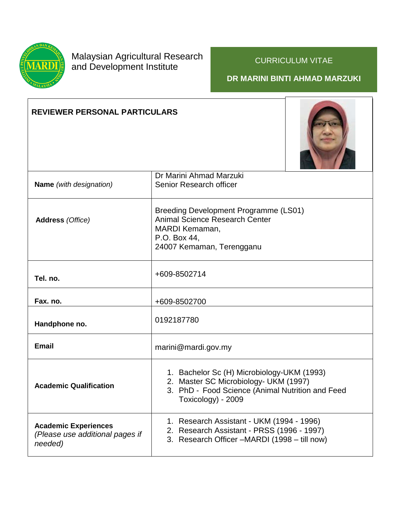

## Malaysian Agricultural Research and Development Institute

## CURRICULUM VITAE

## **DR MARINI BINTI AHMAD MARZUKI**

## **REVIEWER PERSONAL PARTICULARS**



| <b>Name</b> (with designation)                                            | Dr Marini Ahmad Marzuki<br>Senior Research officer                                                                                                            |
|---------------------------------------------------------------------------|---------------------------------------------------------------------------------------------------------------------------------------------------------------|
| <b>Address</b> (Office)                                                   | Breeding Development Programme (LS01)<br><b>Animal Science Research Center</b><br>MARDI Kemaman,<br>P.O. Box 44,<br>24007 Kemaman, Terengganu                 |
| Tel. no.                                                                  | +609-8502714                                                                                                                                                  |
| Fax. no.                                                                  | +609-8502700                                                                                                                                                  |
| Handphone no.                                                             | 0192187780                                                                                                                                                    |
| <b>Email</b>                                                              | marini@mardi.gov.my                                                                                                                                           |
| <b>Academic Qualification</b>                                             | 1. Bachelor Sc (H) Microbiology-UKM (1993)<br>2. Master SC Microbiology- UKM (1997)<br>3. PhD - Food Science (Animal Nutrition and Feed<br>Toxicology) - 2009 |
| <b>Academic Experiences</b><br>(Please use additional pages if<br>needed) | 1. Research Assistant - UKM (1994 - 1996)<br>2. Research Assistant - PRSS (1996 - 1997)<br>3. Research Officer -MARDI (1998 - till now)                       |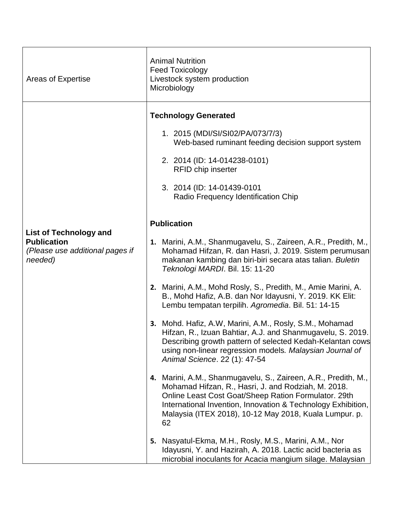| Areas of Expertise                                                                                | <b>Animal Nutrition</b><br><b>Feed Toxicology</b><br>Livestock system production<br>Microbiology                                                                                                                                                                                                                                                                                                                                                                                                                                                                                                                                                                                                                                                                                                                                                                                                                                                                                                                                       |
|---------------------------------------------------------------------------------------------------|----------------------------------------------------------------------------------------------------------------------------------------------------------------------------------------------------------------------------------------------------------------------------------------------------------------------------------------------------------------------------------------------------------------------------------------------------------------------------------------------------------------------------------------------------------------------------------------------------------------------------------------------------------------------------------------------------------------------------------------------------------------------------------------------------------------------------------------------------------------------------------------------------------------------------------------------------------------------------------------------------------------------------------------|
|                                                                                                   | <b>Technology Generated</b><br>1. 2015 (MDI/SI/SI02/PA/073/7/3)<br>Web-based ruminant feeding decision support system<br>2. 2014 (ID: 14-014238-0101)<br><b>RFID chip inserter</b><br>3. 2014 (ID: 14-01439-0101<br>Radio Frequency Identification Chip                                                                                                                                                                                                                                                                                                                                                                                                                                                                                                                                                                                                                                                                                                                                                                                |
| <b>List of Technology and</b><br><b>Publication</b><br>(Please use additional pages if<br>needed) | <b>Publication</b><br>1. Marini, A.M., Shanmugavelu, S., Zaireen, A.R., Predith, M.,<br>Mohamad Hifzan, R. dan Hasri, J. 2019. Sistem perumusan<br>makanan kambing dan biri-biri secara atas talian. Buletin<br>Teknologi MARDI. Bil. 15: 11-20<br>2. Marini, A.M., Mohd Rosly, S., Predith, M., Amie Marini, A.<br>B., Mohd Hafiz, A.B. dan Nor Idayusni, Y. 2019. KK Elit:<br>Lembu tempatan terpilih. Agromedia. Bil. 51: 14-15<br>3. Mohd. Hafiz, A.W, Marini, A.M., Rosly, S.M., Mohamad<br>Hifzan, R., Izuan Bahtiar, A.J. and Shanmugavelu, S. 2019.<br>Describing growth pattern of selected Kedah-Kelantan cows<br>using non-linear regression models. Malaysian Journal of<br>Animal Science. 22 (1): 47-54<br>4. Marini, A.M., Shanmugavelu, S., Zaireen, A.R., Predith, M.,<br>Mohamad Hifzan, R., Hasri, J. and Rodziah, M. 2018.<br>Online Least Cost Goat/Sheep Ration Formulator. 29th<br>International Invention, Innovation & Technology Exhibition,<br>Malaysia (ITEX 2018), 10-12 May 2018, Kuala Lumpur. p.<br>62 |
|                                                                                                   | 5. Nasyatul-Ekma, M.H., Rosly, M.S., Marini, A.M., Nor<br>Idayusni, Y. and Hazirah, A. 2018. Lactic acid bacteria as<br>microbial inoculants for Acacia mangium silage. Malaysian                                                                                                                                                                                                                                                                                                                                                                                                                                                                                                                                                                                                                                                                                                                                                                                                                                                      |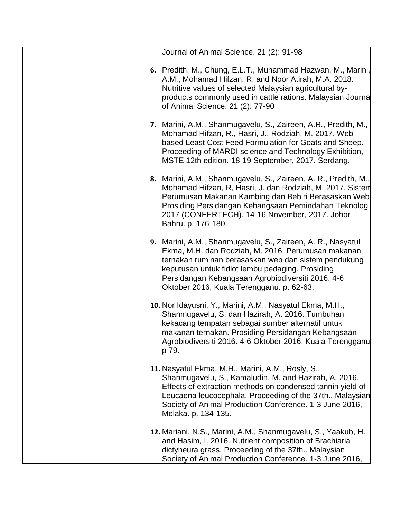| Journal of Animal Science. 21 (2): 91-98                                                                                                                                                                                                                                                                                        |
|---------------------------------------------------------------------------------------------------------------------------------------------------------------------------------------------------------------------------------------------------------------------------------------------------------------------------------|
| 6. Predith, M., Chung, E.L.T., Muhammad Hazwan, M., Marini,<br>A.M., Mohamad Hifzan, R. and Noor Atirah, M.A. 2018.<br>Nutritive values of selected Malaysian agricultural by-<br>products commonly used in cattle rations. Malaysian Journa<br>of Animal Science. 21 (2): 77-90                                                |
| 7. Marini, A.M., Shanmugavelu, S., Zaireen, A.R., Predith, M.,<br>Mohamad Hifzan, R., Hasri, J., Rodziah, M. 2017. Web-<br>based Least Cost Feed Formulation for Goats and Sheep.<br>Proceeding of MARDI science and Technology Exhibition,<br>MSTE 12th edition. 18-19 September, 2017. Serdang.                               |
| 8. Marini, A.M., Shanmugavelu, S., Zaireen, A. R., Predith, M.,<br>Mohamad Hifzan, R, Hasri, J. dan Rodziah, M. 2017. Sistem<br>Perumusan Makanan Kambing dan Bebiri Berasaskan Web.<br>Prosiding Persidangan Kebangsaan Pemindahan Teknologi<br>2017 (CONFERTECH). 14-16 November, 2017. Johor<br>Bahru. p. 176-180.           |
| 9. Marini, A.M., Shanmugavelu, S., Zaireen, A. R., Nasyatul<br>Ekma, M.H. dan Rodziah, M. 2016. Perumusan makanan<br>ternakan ruminan berasaskan web dan sistem pendukung<br>keputusan untuk fidlot lembu pedaging. Prosiding<br>Persidangan Kebangsaan Agrobiodiversiti 2016. 4-6<br>Oktober 2016, Kuala Terengganu. p. 62-63. |
| 10. Nor Idayusni, Y., Marini, A.M., Nasyatul Ekma, M.H.,<br>Shanmugavelu, S. dan Hazirah, A. 2016. Tumbuhan<br>kekacang tempatan sebagai sumber alternatif untuk<br>makanan ternakan. Prosiding Persidangan Kebangsaan<br>Agrobiodiversiti 2016. 4-6 Oktober 2016, Kuala Terengganu<br>p 79.                                    |
| 11. Nasyatul Ekma, M.H., Marini, A.M., Rosly, S.,<br>Shanmugavelu, S., Kamaludin, M. and Hazirah, A. 2016.<br>Effects of extraction methods on condensed tannin yield of<br>Leucaena leucocephala. Proceeding of the 37th Malaysian<br>Society of Animal Production Conference. 1-3 June 2016,<br>Melaka. p. 134-135.           |
| 12. Mariani, N.S., Marini, A.M., Shanmugavelu, S., Yaakub, H.<br>and Hasim, I. 2016. Nutrient composition of Brachiaria<br>dictyneura grass. Proceeding of the 37th Malaysian<br>Society of Animal Production Conference. 1-3 June 2016,                                                                                        |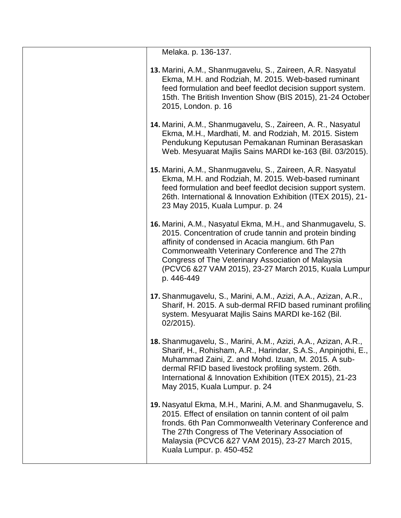| Melaka. p. 136-137.                                                                                                                                                                                                                                                                                                                                       |
|-----------------------------------------------------------------------------------------------------------------------------------------------------------------------------------------------------------------------------------------------------------------------------------------------------------------------------------------------------------|
| 13. Marini, A.M., Shanmugavelu, S., Zaireen, A.R. Nasyatul<br>Ekma, M.H. and Rodziah, M. 2015. Web-based ruminant<br>feed formulation and beef feedlot decision support system.<br>15th. The British Invention Show (BIS 2015), 21-24 October<br>2015, London. p. 16                                                                                      |
| 14. Marini, A.M., Shanmugavelu, S., Zaireen, A. R., Nasyatul<br>Ekma, M.H., Mardhati, M. and Rodziah, M. 2015. Sistem<br>Pendukung Keputusan Pemakanan Ruminan Berasaskan<br>Web. Mesyuarat Majlis Sains MARDI ke-163 (Bil. 03/2015).                                                                                                                     |
| 15. Marini, A.M., Shanmugavelu, S., Zaireen, A.R. Nasyatul<br>Ekma, M.H. and Rodziah, M. 2015. Web-based ruminant<br>feed formulation and beef feedlot decision support system.<br>26th. International & Innovation Exhibition (ITEX 2015), 21-<br>23 May 2015, Kuala Lumpur. p. 24                                                                       |
| 16. Marini, A.M., Nasyatul Ekma, M.H., and Shanmugavelu, S.<br>2015. Concentration of crude tannin and protein binding<br>affinity of condensed in Acacia mangium. 6th Pan<br>Commonwealth Veterinary Conference and The 27th<br>Congress of The Veterinary Association of Malaysia<br>(PCVC6 &27 VAM 2015), 23-27 March 2015, Kuala Lumpur<br>p. 446-449 |
| 17. Shanmugavelu, S., Marini, A.M., Azizi, A.A., Azizan, A.R.,<br>Sharif, H. 2015. A sub-dermal RFID based ruminant profiling<br>system. Mesyuarat Majlis Sains MARDI ke-162 (Bil.<br>$02/2015$ ).                                                                                                                                                        |
| 18. Shanmugavelu, S., Marini, A.M., Azizi, A.A., Azizan, A.R.,<br>Sharif, H., Rohisham, A.R., Harindar, S.A.S., Anpinjothi, E.,<br>Muhammad Zaini, Z. and Mohd. Izuan, M. 2015. A sub-<br>dermal RFID based livestock profiling system. 26th.<br>International & Innovation Exhibition (ITEX 2015), 21-23<br>May 2015, Kuala Lumpur. p. 24                |
| 19. Nasyatul Ekma, M.H., Marini, A.M. and Shanmugavelu, S.<br>2015. Effect of ensilation on tannin content of oil palm<br>fronds. 6th Pan Commonwealth Veterinary Conference and<br>The 27th Congress of The Veterinary Association of<br>Malaysia (PCVC6 &27 VAM 2015), 23-27 March 2015,<br>Kuala Lumpur. p. 450-452                                    |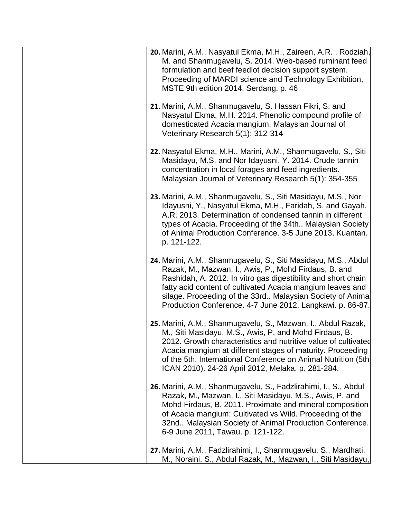| 20. Marini, A.M., Nasyatul Ekma, M.H., Zaireen, A.R., Rodziah,<br>M. and Shanmugavelu, S. 2014. Web-based ruminant feed<br>formulation and beef feedlot decision support system.<br>Proceeding of MARDI science and Technology Exhibition,<br>MSTE 9th edition 2014. Serdang. p. 46                                                                                               |
|-----------------------------------------------------------------------------------------------------------------------------------------------------------------------------------------------------------------------------------------------------------------------------------------------------------------------------------------------------------------------------------|
| 21. Marini, A.M., Shanmugavelu, S. Hassan Fikri, S. and<br>Nasyatul Ekma, M.H. 2014. Phenolic compound profile of<br>domesticated Acacia mangium. Malaysian Journal of<br>Veterinary Research 5(1): 312-314                                                                                                                                                                       |
| 22. Nasyatul Ekma, M.H., Marini, A.M., Shanmugavelu, S., Siti<br>Masidayu, M.S. and Nor Idayusni, Y. 2014. Crude tannin<br>concentration in local forages and feed ingredients.<br>Malaysian Journal of Veterinary Research 5(1): 354-355                                                                                                                                         |
| 23. Marini, A.M., Shanmugavelu, S., Siti Masidayu, M.S., Nor<br>Idayusni, Y., Nasyatul Ekma, M.H., Faridah, S. and Gayah,<br>A.R. 2013. Determination of condensed tannin in different<br>types of Acacia. Proceeding of the 34th Malaysian Society<br>of Animal Production Conference. 3-5 June 2013, Kuantan.<br>p. 121-122.                                                    |
| 24. Marini, A.M., Shanmugavelu, S., Siti Masidayu, M.S., Abdul<br>Razak, M., Mazwan, I., Awis, P., Mohd Firdaus, B. and<br>Rashidah, A. 2012. In vitro gas digestibility and short chain<br>fatty acid content of cultivated Acacia mangium leaves and<br>silage. Proceeding of the 33rd Malaysian Society of Animal<br>Production Conference. 4-7 June 2012, Langkawi. p. 86-87. |
| 25. Marini, A.M., Shanmugavelu, S., Mazwan, I., Abdul Razak,<br>M., Siti Masidayu, M.S., Awis, P. and Mohd Firdaus, B.<br>2012. Growth characteristics and nutritive value of cultivated<br>Acacia mangium at different stages of maturity. Proceeding<br>of the 5th. International Conference on Animal Nutrition (5th.<br>ICAN 2010). 24-26 April 2012, Melaka. p. 281-284.     |
| 26. Marini, A.M., Shanmugavelu, S., Fadzlirahimi, I., S., Abdul<br>Razak, M., Mazwan, I., Siti Masidayu, M.S., Awis, P. and<br>Mohd Firdaus, B. 2011. Proximate and mineral composition<br>of Acacia mangium: Cultivated vs Wild. Proceeding of the<br>32nd Malaysian Society of Animal Production Conference.<br>6-9 June 2011, Tawau. p. 121-122.                               |
| 27. Marini, A.M., Fadzlirahimi, I., Shanmugavelu, S., Mardhati,<br>M., Noraini, S., Abdul Razak, M., Mazwan, I., Siti Masidayu,                                                                                                                                                                                                                                                   |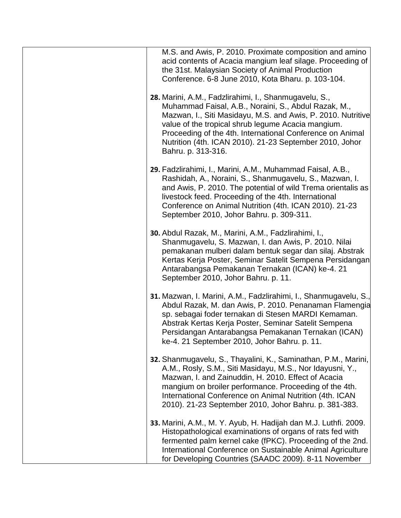| M.S. and Awis, P. 2010. Proximate composition and amino<br>acid contents of Acacia mangium leaf silage. Proceeding of<br>the 31st. Malaysian Society of Animal Production<br>Conference. 6-8 June 2010, Kota Bharu. p. 103-104.                                                                                                                                                   |
|-----------------------------------------------------------------------------------------------------------------------------------------------------------------------------------------------------------------------------------------------------------------------------------------------------------------------------------------------------------------------------------|
| 28. Marini, A.M., Fadzlirahimi, I., Shanmugavelu, S.,<br>Muhammad Faisal, A.B., Noraini, S., Abdul Razak, M.,<br>Mazwan, I., Siti Masidayu, M.S. and Awis, P. 2010. Nutritive<br>value of the tropical shrub legume Acacia mangium.<br>Proceeding of the 4th. International Conference on Animal<br>Nutrition (4th. ICAN 2010). 21-23 September 2010, Johor<br>Bahru. p. 313-316. |
| 29. Fadzlirahimi, I., Marini, A.M., Muhammad Faisal, A.B.,<br>Rashidah, A., Noraini, S., Shanmugavelu, S., Mazwan, I.<br>and Awis, P. 2010. The potential of wild Trema orientalis as<br>livestock feed. Proceeding of the 4th. International<br>Conference on Animal Nutrition (4th. ICAN 2010). 21-23<br>September 2010, Johor Bahru. p. 309-311.                               |
| 30. Abdul Razak, M., Marini, A.M., Fadzlirahimi, I.,<br>Shanmugavelu, S. Mazwan, I. dan Awis, P. 2010. Nilai<br>pemakanan mulberi dalam bentuk segar dan silaj. Abstrak<br>Kertas Kerja Poster, Seminar Satelit Sempena Persidangan<br>Antarabangsa Pemakanan Ternakan (ICAN) ke-4. 21<br>September 2010, Johor Bahru. p. 11.                                                     |
| 31. Mazwan, I. Marini, A.M., Fadzlirahimi, I., Shanmugavelu, S.,<br>Abdul Razak, M. dan Awis, P. 2010. Penanaman Flamengia<br>sp. sebagai foder ternakan di Stesen MARDI Kemaman.<br>Abstrak Kertas Kerja Poster, Seminar Satelit Sempena<br>Persidangan Antarabangsa Pemakanan Ternakan (ICAN)<br>ke-4. 21 September 2010, Johor Bahru. p. 11.                                   |
| 32. Shanmugavelu, S., Thayalini, K., Saminathan, P.M., Marini,<br>A.M., Rosly, S.M., Siti Masidayu, M.S., Nor Idayusni, Y.,<br>Mazwan, I. and Zainuddin, H. 2010. Effect of Acacia<br>mangium on broiler performance. Proceeding of the 4th.<br>International Conference on Animal Nutrition (4th. ICAN<br>2010). 21-23 September 2010, Johor Bahru. p. 381-383.                  |
| 33. Marini, A.M., M. Y. Ayub, H. Hadijah dan M.J. Luthfi. 2009.<br>Histopathological examinations of organs of rats fed with<br>fermented palm kernel cake (fPKC). Proceeding of the 2nd.<br>International Conference on Sustainable Animal Agriculture<br>for Developing Countries (SAADC 2009). 8-11 November                                                                   |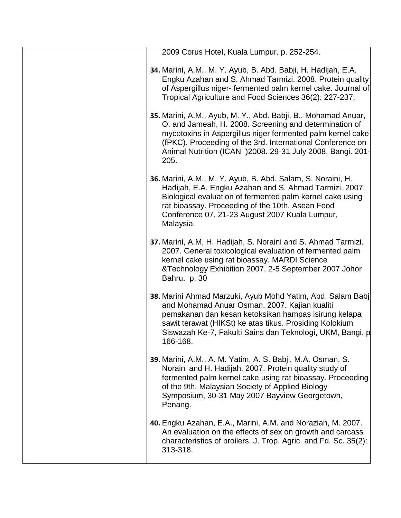| 2009 Corus Hotel, Kuala Lumpur. p. 252-254.                                                                                                                                                                                                                                                                                |
|----------------------------------------------------------------------------------------------------------------------------------------------------------------------------------------------------------------------------------------------------------------------------------------------------------------------------|
| 34. Marini, A.M., M. Y. Ayub, B. Abd. Babji, H. Hadijah, E.A.<br>Engku Azahan and S. Ahmad Tarmizi. 2008. Protein quality<br>of Aspergillus niger-fermented palm kernel cake. Journal of<br>Tropical Agriculture and Food Sciences 36(2): 227-237.                                                                         |
| 35. Marini, A.M., Ayub, M. Y., Abd. Babji, B., Mohamad Anuar,<br>O. and Jameah, H. 2008. Screening and determination of<br>mycotoxins in Aspergillus niger fermented palm kernel cake<br>(fPKC). Proceeding of the 3rd. International Conference on<br>Animal Nutrition (ICAN ) 2008. 29-31 July 2008, Bangi. 201-<br>205. |
| 36. Marini, A.M., M. Y. Ayub, B. Abd. Salam, S. Noraini, H.<br>Hadijah, E.A. Engku Azahan and S. Ahmad Tarmizi. 2007.<br>Biological evaluation of fermented palm kernel cake using<br>rat bioassay. Proceeding of the 10th. Asean Food<br>Conference 07, 21-23 August 2007 Kuala Lumpur,<br>Malaysia.                      |
| 37. Marini, A.M, H. Hadijah, S. Noraini and S. Ahmad Tarmizi.<br>2007. General toxicological evaluation of fermented palm<br>kernel cake using rat bioassay. MARDI Science<br>&Technology Exhibition 2007, 2-5 September 2007 Johor<br>Bahru. p. 30                                                                        |
| 38. Marini Ahmad Marzuki, Ayub Mohd Yatim, Abd. Salam Babil<br>and Mohamad Anuar Osman. 2007. Kajian kualiti<br>pemakanan dan kesan ketoksikan hampas isirung kelapa<br>sawit terawat (HIKSt) ke atas tikus. Prosiding Kolokium<br>Siswazah Ke-7, Fakulti Sains dan Teknologi, UKM, Bangi. p<br>166-168.                   |
| 39. Marini, A.M., A. M. Yatim, A. S. Babji, M.A. Osman, S.<br>Noraini and H. Hadijah. 2007. Protein quality study of<br>fermented palm kernel cake using rat bioassay. Proceeding<br>of the 9th. Malaysian Society of Applied Biology<br>Symposium, 30-31 May 2007 Bayview Georgetown,<br>Penang.                          |
| 40. Engku Azahan, E.A., Marini, A.M. and Noraziah, M. 2007.<br>An evaluation on the effects of sex on growth and carcass<br>characteristics of broilers. J. Trop. Agric. and Fd. Sc. 35(2):<br>313-318.                                                                                                                    |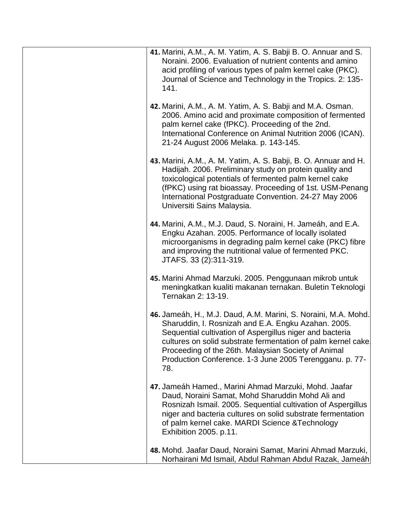| 41. Marini, A.M., A. M. Yatim, A. S. Babji B. O. Annuar and S.<br>Noraini. 2006. Evaluation of nutrient contents and amino<br>acid profiling of various types of palm kernel cake (PKC).<br>Journal of Science and Technology in the Tropics. 2: 135-<br>141.                                                                                                              |
|----------------------------------------------------------------------------------------------------------------------------------------------------------------------------------------------------------------------------------------------------------------------------------------------------------------------------------------------------------------------------|
| 42. Marini, A.M., A. M. Yatim, A. S. Babji and M.A. Osman.<br>2006. Amino acid and proximate composition of fermented<br>palm kernel cake (fPKC). Proceeding of the 2nd.<br>International Conference on Animal Nutrition 2006 (ICAN).<br>21-24 August 2006 Melaka. p. 143-145.                                                                                             |
| 43. Marini, A.M., A. M. Yatim, A. S. Babji, B. O. Annuar and H.<br>Hadijah. 2006. Preliminary study on protein quality and<br>toxicological potentials of fermented palm kernel cake<br>(fPKC) using rat bioassay. Proceeding of 1st. USM-Penang<br>International Postgraduate Convention. 24-27 May 2006<br>Universiti Sains Malaysia.                                    |
| 44. Marini, A.M., M.J. Daud, S. Noraini, H. Jameáh, and E.A.<br>Engku Azahan. 2005. Performance of locally isolated<br>microorganisms in degrading palm kernel cake (PKC) fibre<br>and improving the nutritional value of fermented PKC.<br>JTAFS. 33 (2):311-319.                                                                                                         |
| 45. Marini Ahmad Marzuki. 2005. Penggunaan mikrob untuk<br>meningkatkan kualiti makanan ternakan. Buletin Teknologi<br>Ternakan 2: 13-19.                                                                                                                                                                                                                                  |
| 46. Jameáh, H., M.J. Daud, A.M. Marini, S. Noraini, M.A. Mohd.<br>Sharuddin, I. Rosnizah and E.A. Engku Azahan. 2005.<br>Sequential cultivation of Aspergillus niger and bacteria<br>cultures on solid substrate fermentation of palm kernel cake<br>Proceeding of the 26th. Malaysian Society of Animal<br>Production Conference. 1-3 June 2005 Terengganu. p. 77-<br>78. |
| 47. Jameáh Hamed., Marini Ahmad Marzuki, Mohd. Jaafar<br>Daud, Noraini Samat, Mohd Sharuddin Mohd Ali and<br>Rosnizah Ismail. 2005. Sequential cultivation of Aspergillus<br>niger and bacteria cultures on solid substrate fermentation<br>of palm kernel cake. MARDI Science & Technology<br>Exhibition 2005. p.11.                                                      |
| 48. Mohd. Jaafar Daud, Noraini Samat, Marini Ahmad Marzuki,<br>Norhairani Md Ismail, Abdul Rahman Abdul Razak, Jameáh                                                                                                                                                                                                                                                      |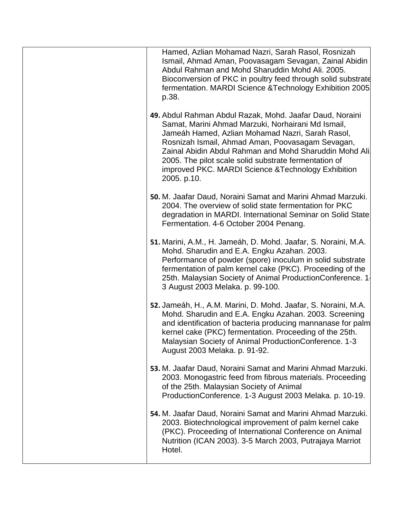| Hamed, Azlian Mohamad Nazri, Sarah Rasol, Rosnizah<br>Ismail, Ahmad Aman, Poovasagam Sevagan, Zainal Abidin<br>Abdul Rahman and Mohd Sharuddin Mohd Ali. 2005.<br>Bioconversion of PKC in poultry feed through solid substrate<br>fermentation. MARDI Science & Technology Exhibition 2005<br>p.38.                                                                                                              |
|------------------------------------------------------------------------------------------------------------------------------------------------------------------------------------------------------------------------------------------------------------------------------------------------------------------------------------------------------------------------------------------------------------------|
| 49. Abdul Rahman Abdul Razak, Mohd. Jaafar Daud, Noraini<br>Samat, Marini Ahmad Marzuki, Norhairani Md Ismail,<br>Jameáh Hamed, Azlian Mohamad Nazri, Sarah Rasol,<br>Rosnizah Ismail, Ahmad Aman, Poovasagam Sevagan,<br>Zainal Abidin Abdul Rahman and Mohd Sharuddin Mohd Ali.<br>2005. The pilot scale solid substrate fermentation of<br>improved PKC. MARDI Science & Technology Exhibition<br>2005. p.10. |
| 50. M. Jaafar Daud, Noraini Samat and Marini Ahmad Marzuki.<br>2004. The overview of solid state fermentation for PKC<br>degradation in MARDI. International Seminar on Solid State<br>Fermentation. 4-6 October 2004 Penang.                                                                                                                                                                                    |
| 51. Marini, A.M., H. Jameáh, D. Mohd. Jaafar, S. Noraini, M.A.<br>Mohd. Sharudin and E.A. Engku Azahan. 2003.<br>Performance of powder (spore) inoculum in solid substrate<br>fermentation of palm kernel cake (PKC). Proceeding of the<br>25th. Malaysian Society of Animal Production Conference. 1<br>3 August 2003 Melaka. p. 99-100.                                                                        |
| 52. Jameáh, H., A.M. Marini, D. Mohd. Jaafar, S. Noraini, M.A.<br>Mohd. Sharudin and E.A. Engku Azahan. 2003. Screening<br>and identification of bacteria producing mannanase for palm<br>kernel cake (PKC) fermentation. Proceeding of the 25th.<br>Malaysian Society of Animal Production Conference. 1-3<br>August 2003 Melaka. p. 91-92.                                                                     |
| 53. M. Jaafar Daud, Noraini Samat and Marini Ahmad Marzuki.<br>2003. Monogastric feed from fibrous materials. Proceeding<br>of the 25th. Malaysian Society of Animal<br>ProductionConference. 1-3 August 2003 Melaka. p. 10-19.                                                                                                                                                                                  |
| 54. M. Jaafar Daud, Noraini Samat and Marini Ahmad Marzuki.<br>2003. Biotechnological improvement of palm kernel cake<br>(PKC). Proceeding of International Conference on Animal<br>Nutrition (ICAN 2003). 3-5 March 2003, Putrajaya Marriot<br>Hotel.                                                                                                                                                           |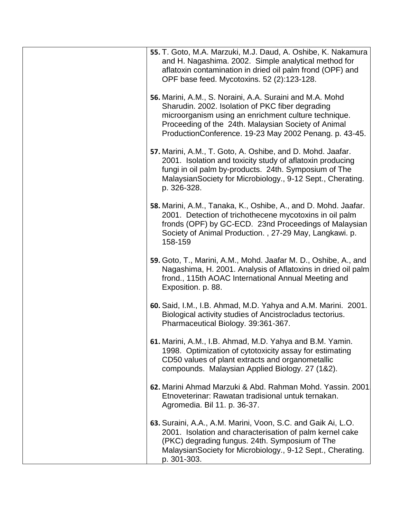| 55. T. Goto, M.A. Marzuki, M.J. Daud, A. Oshibe, K. Nakamura<br>and H. Nagashima. 2002. Simple analytical method for<br>aflatoxin contamination in dried oil palm frond (OPF) and<br>OPF base feed. Mycotoxins. 52 (2):123-128.                                                       |
|---------------------------------------------------------------------------------------------------------------------------------------------------------------------------------------------------------------------------------------------------------------------------------------|
| 56. Marini, A.M., S. Noraini, A.A. Suraini and M.A. Mohd<br>Sharudin. 2002. Isolation of PKC fiber degrading<br>microorganism using an enrichment culture technique.<br>Proceeding of the 24th. Malaysian Society of Animal<br>ProductionConference. 19-23 May 2002 Penang. p. 43-45. |
| 57. Marini, A.M., T. Goto, A. Oshibe, and D. Mohd. Jaafar.<br>2001. Isolation and toxicity study of aflatoxin producing<br>fungi in oil palm by-products. 24th. Symposium of The<br>Malaysian Society for Microbiology., 9-12 Sept., Cherating.<br>p. 326-328.                        |
| 58. Marini, A.M., Tanaka, K., Oshibe, A., and D. Mohd. Jaafar.<br>2001. Detection of trichothecene mycotoxins in oil palm<br>fronds (OPF) by GC-ECD. 23nd Proceedings of Malaysian<br>Society of Animal Production., 27-29 May, Langkawi. p.<br>158-159                               |
| 59. Goto, T., Marini, A.M., Mohd. Jaafar M. D., Oshibe, A., and<br>Nagashima, H. 2001. Analysis of Aflatoxins in dried oil palm<br>frond., 115th AOAC International Annual Meeting and<br>Exposition. p. 88.                                                                          |
| 60. Said, I.M., I.B. Ahmad, M.D. Yahya and A.M. Marini. 2001.<br>Biological activity studies of Ancistrocladus tectorius.<br>Pharmaceutical Biology. 39:361-367.                                                                                                                      |
| 61. Marini, A.M., I.B. Ahmad, M.D. Yahya and B.M. Yamin.<br>1998. Optimization of cytotoxicity assay for estimating<br>CD50 values of plant extracts and organometallic<br>compounds. Malaysian Applied Biology. 27 (1&2).                                                            |
| 62. Marini Ahmad Marzuki & Abd. Rahman Mohd. Yassin. 2001<br>Etnoveterinar: Rawatan tradisional untuk ternakan.<br>Agromedia. Bil 11. p. 36-37.                                                                                                                                       |
| 63. Suraini, A.A., A.M. Marini, Voon, S.C. and Gaik Ai, L.O.<br>2001. Isolation and characterisation of palm kernel cake<br>(PKC) degrading fungus. 24th. Symposium of The<br>Malaysian Society for Microbiology., 9-12 Sept., Cherating.<br>p. 301-303.                              |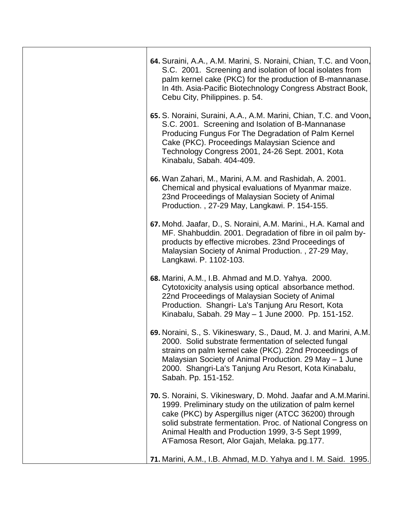| 64. Suraini, A.A., A.M. Marini, S. Noraini, Chian, T.C. and Voon,<br>S.C. 2001. Screening and isolation of local isolates from<br>palm kernel cake (PKC) for the production of B-mannanase.<br>In 4th. Asia-Pacific Biotechnology Congress Abstract Book,<br>Cebu City, Philippines. p. 54.                                                              |
|----------------------------------------------------------------------------------------------------------------------------------------------------------------------------------------------------------------------------------------------------------------------------------------------------------------------------------------------------------|
| 65. S. Noraini, Suraini, A.A., A.M. Marini, Chian, T.C. and Voon,<br>S.C. 2001. Screening and Isolation of B-Mannanase<br>Producing Fungus For The Degradation of Palm Kernel<br>Cake (PKC). Proceedings Malaysian Science and<br>Technology Congress 2001, 24-26 Sept. 2001, Kota<br>Kinabalu, Sabah. 404-409.                                          |
| 66. Wan Zahari, M., Marini, A.M. and Rashidah, A. 2001.<br>Chemical and physical evaluations of Myanmar maize.<br>23nd Proceedings of Malaysian Society of Animal<br>Production., 27-29 May, Langkawi. P. 154-155.                                                                                                                                       |
| 67. Mohd. Jaafar, D., S. Noraini, A.M. Marini., H.A. Kamal and<br>MF. Shahbuddin. 2001. Degradation of fibre in oil palm by-<br>products by effective microbes. 23nd Proceedings of<br>Malaysian Society of Animal Production., 27-29 May,<br>Langkawi. P. 1102-103.                                                                                     |
| 68. Marini, A.M., I.B. Ahmad and M.D. Yahya. 2000.<br>Cytotoxicity analysis using optical absorbance method.<br>22nd Proceedings of Malaysian Society of Animal<br>Production. Shangri- La's Tanjung Aru Resort, Kota<br>Kinabalu, Sabah. 29 May - 1 June 2000. Pp. 151-152.                                                                             |
| 69. Noraini, S., S. Vikineswary, S., Daud, M. J. and Marini, A.M.<br>2000. Solid substrate fermentation of selected fungal<br>strains on palm kernel cake (PKC). 22nd Proceedings of<br>Malaysian Society of Animal Production. 29 May - 1 June<br>2000. Shangri-La's Tanjung Aru Resort, Kota Kinabalu,<br>Sabah. Pp. 151-152.                          |
| 70. S. Noraini, S. Vikineswary, D. Mohd. Jaafar and A.M.Marini.<br>1999. Preliminary study on the utilization of palm kernel<br>cake (PKC) by Aspergillus niger (ATCC 36200) through<br>solid substrate fermentation. Proc. of National Congress on<br>Animal Health and Production 1999, 3-5 Sept 1999,<br>A'Famosa Resort, Alor Gajah, Melaka. pg.177. |
| 71. Marini, A.M., I.B. Ahmad, M.D. Yahya and I. M. Said. 1995.                                                                                                                                                                                                                                                                                           |